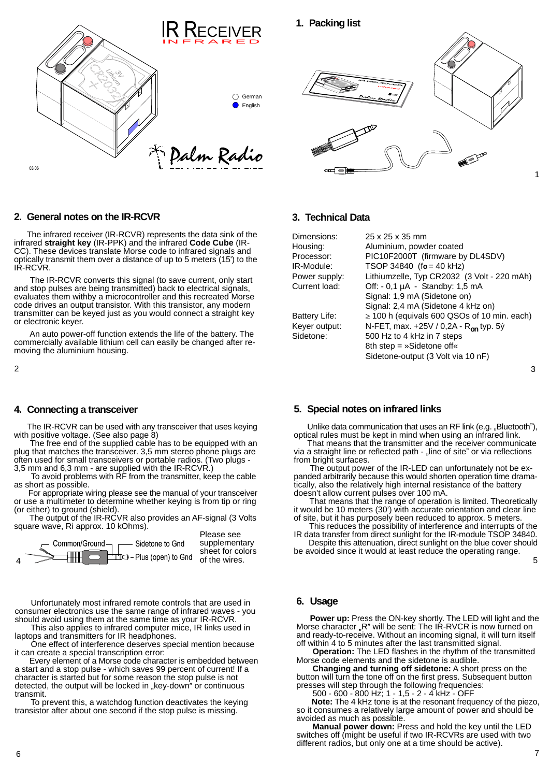



### **2. General notes on the IR-RCVR**

The infrared receiver (IR-RCVR) represents the data sink of the infrared **straight key** (IR-PPK) and the infrared **Code Cube** (IR- CC). These devices translate Morse code to infrared signals and optically transmit them over a distance of up to 5 meters (15') to the IR-RCVR.

The IR-RCVR converts this signal (to save current, only start and stop pulses are being transmitted) back to electrical signals, evaluates them withby a microcontroller and this recreated Morse code drives an output transistor. With this transistor, any modern transmitter can be keyed just as you would connect a straight key or electronic keyer.  $\frac{1}{2}$  and  $\frac{1}{2}$  and  $\frac{1}{2}$  and  $\frac{1}{2}$  and  $\frac{1}{2}$  and  $\frac{1}{2}$  and  $\frac{1}{2}$  and  $\frac{1}{2}$  and  $\frac{1}{2}$  and  $\frac{1}{2}$  and  $\frac{1}{2}$  and  $\frac{1}{2}$  and  $\frac{1}{2}$  and  $\frac{1}{2}$  and  $\frac{$ 

An auto power-off function extends the life of the battery. The commercially available lithium cell can easily be changed after re moving the aluminium housing.

ith positive voltage. (See also page 8) with positive voltage. (See also page 8)<br>The free end of the supplied cable has to be equipped with an That means that the transmitter and the receiver communicate

The free end of the supplied cable has to be equipped with an plug that matches the transceiver. 3,5 mm stereo phone plugs are often used for small transceivers or portable radios. (Two plugs - from bright surfaces.<br>3,5 mm and 6,3 mm - are supplied with the IR-RCVR.) The output power

For appropriate wiring please see the manual of your transceiver or use a multimeter to determine whether keying is from tip or ring (or either) to ground (shield).

square wave, Ri approx. 10 kOhms). This reduces the possibility of interference and interrupts of the



Unfortunately most infrared remote controls that are used in **6. Usage** consumer electronics use the same range of infrared waves - you

One effect of interference deserves special mention because off within 4 to 5 minutes after the last transmitted signal.<br> **Operation:** The LED flashes in the rhythm of the transmitted signal.<br> **Operation:** The LED flashes

Every element of a Morse code character is embedded between Morse code elements and the sidetone is audible.<br>The manging and turning off sidetone: A short press on the current of current! If a a start and a stop pulse - which saves 99 percent of current! If a character is started but for some reason the stop pulse is not detected, the output will be locked in "key-down" or continuous transmit.

To prevent this, a watchdog function deactivates the keying transistor after about one second if the stop pulse is missing.

#### **3. Technical Data**

| Dimensions:   | 25 x 25 x 35 mm                                   |
|---------------|---------------------------------------------------|
| Housing:      | Aluminium, powder coated                          |
| Processor:    | PIC10F2000T (firmware by DL4SDV)                  |
| IR-Module:    | TSOP 34840 $(6 = 40 \text{ kHz})$                 |
|               | Lithiumzelle, Typ CR2032 (3 Volt - 220 mAh)       |
| Power supply: |                                                   |
| Current load: | Off: $-0.1 \mu A -$ Standby: 1,5 mA               |
|               | Signal: 1,9 mA (Sidetone on)                      |
|               | Signal: 2,4 mA (Sidetone 4 kHz on)                |
| Battery Life: | $\geq$ 100 h (equivals 600 QSOs of 10 min. each)  |
| Keyer output: | N-FET, max. +25V / 0,2A - R <sub>on</sub> typ. 5ý |
| Sidetone:     | 500 Hz to 4 kHz in 7 steps                        |
|               | 8th step = »Sidetone off«                         |
|               | Sidetone-output (3 Volt via 10 nF)                |
|               |                                                   |

 $\sim$  2 3

### **4. Connecting a transceiver 5. Special notes on infrared links**

The IR-RCVR can be used with any transceiver that uses keying building under data communication that uses an RF link (e.g. "Bluetooth"),

optical rules must be kept in mind when using an infrared link. That meansthat the transmitter and the receiver communicate via a straight line or reflected path - "line of site" or via reflections from bright surfaces.

3,5 mm and 6,3 mm - are supplied with the IR-RCVR.) The output power of the IR-LED can unfortunately not be ex- To avoid problems with RF from the transmitter, keep the cable panded arbitrarily because this would shorten operation time dramaas short as possible. tically, also the relatively high internal resistance of the battery doesn't allow current pulses over 100 mA.

(or either) to ground (shield). it would be 10 meters (30') with accurate orientation and clear line The output of the IR-RCVR also provides an AF-signal (3 Volts of site, but it has purposely been reduced to approx. 5 meters. That means that the range of operation is limited. Theoretically

> Please see IR data transfer from direct sunlight for the IR-module TSOP 34840. supplementary Despite this attenuation, direct sunlight on the blue cover should

sheet for colors be avoided since it would at least reduce the operating range.

#### **6. Usage**

**Power up:** Press the ON-key shortly. The LED will light and the Morse character "R" will be sent: The IR-RVCR is now turned on laptops and transmitters for IR headphones. The state of the state of ready-to-receive. Without an incoming signal, it will turn itself off within <sup>4</sup> to <sup>5</sup> minutes after the last transmitted signal. **Operation:** The LED flashes in the rhythm of the transmitted should avoid using them at the same time as your IR-RCVR. **Power up:** Press the ON-key shortly. The LED will light and the This also applies to infrared computer mice, IR links used in

Morse code elements and the sidetone is audible. **Changing and turning off sidetone:** <sup>A</sup> short press on the **Operation:** The LED flashes in the rhythm of the transmitted Morse code elements and the sidetone is audible.

button will turn the tone off on the first press. Subsequent button presses will step through the following frequencies:

500 - 600 - 800 Hz; 1 - 1,5 - 2 - 4 kHz - OFF

**Note:** The 4 kHz tone is at the resonant frequency of the piezo, so it consumes a relatively large amount of power and should be avoided as much as possible. transmit. To prevent this, <sup>a</sup> watchdog function deactivates the keying

avoided as much as possible. **Manual power down:** Press and hold the key until the LED **Manual power down:** Press and hold the key until the LED switches off (might be useful if two IR-RCVRs are used with two different radios, but only one at a time should be active).